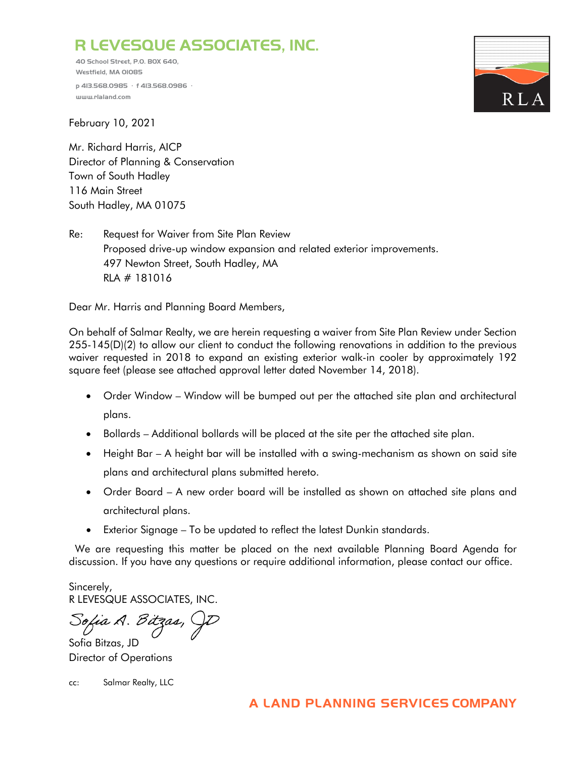## **R LEVESQUE ASSOCIATES, INC.**

**40 School Street, P.O. BOX 640, Westfield, MA 01085 p 413.568.0985 · f 413.568.0986 · [www.rlaland.com](http://www.rlaland.com/)**



February 10, 2021

Mr. Richard Harris, AICP Director of Planning & Conservation Town of South Hadley 116 Main Street South Hadley, MA 01075

Re: Request for Waiver from Site Plan Review Proposed drive-up window expansion and related exterior improvements. 497 Newton Street, South Hadley, MA RLA # 181016

Dear Mr. Harris and Planning Board Members,

On behalf of Salmar Realty, we are herein requesting a waiver from Site Plan Review under Section 255-145(D)(2) to allow our client to conduct the following renovations in addition to the previous waiver requested in 2018 to expand an existing exterior walk-in cooler by approximately 192 square feet (please see attached approval letter dated November 14, 2018).

- Order Window Window will be bumped out per the attached site plan and architectural plans.
- Bollards Additional bollards will be placed at the site per the attached site plan.
- Height Bar A height bar will be installed with a swing-mechanism as shown on said site plans and architectural plans submitted hereto.
- Order Board A new order board will be installed as shown on attached site plans and architectural plans.
- Exterior Signage To be updated to reflect the latest Dunkin standards.

 We are requesting this matter be placed on the next available Planning Board Agenda for discussion. If you have any questions or require additional information, please contact our office.

Sincerely, R LEVESQUE ASSOCIATES, INC.

Sofia A. Bitzas, GD

Sofia Bitzas, JD Director of Operations

cc: Salmar Realty, LLC

## **A LAND PLANNING SERVICES COMPANY**